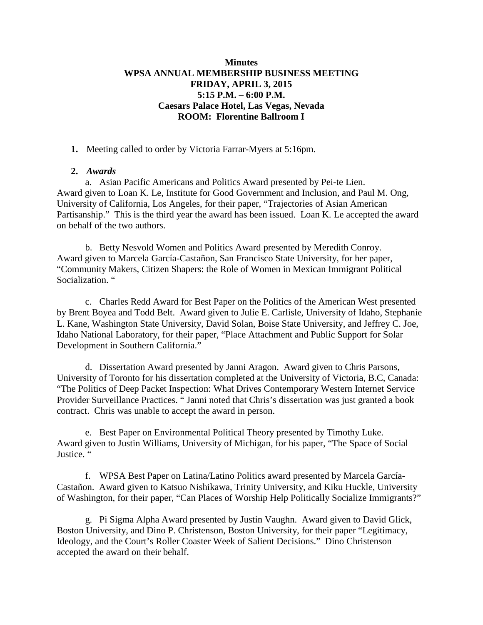# **Minutes WPSA ANNUAL MEMBERSHIP BUSINESS MEETING FRIDAY, APRIL 3, 2015 5:15 P.M. – 6:00 P.M. Caesars Palace Hotel, Las Vegas, Nevada ROOM: Florentine Ballroom I**

**1.** Meeting called to order by Victoria Farrar-Myers at 5:16pm.

## **2.** *Awards*

a. Asian Pacific Americans and Politics Award presented by Pei-te Lien. Award given to Loan K. Le, Institute for Good Government and Inclusion, and Paul M. Ong, University of California, Los Angeles, for their paper, "Trajectories of Asian American Partisanship." This is the third year the award has been issued. Loan K. Le accepted the award on behalf of the two authors.

b. Betty Nesvold Women and Politics Award presented by Meredith Conroy. Award given to Marcela García-Castañon, San Francisco State University, for her paper, "Community Makers, Citizen Shapers: the Role of Women in Mexican Immigrant Political Socialization. "

c. Charles Redd Award for Best Paper on the Politics of the American West presented by Brent Boyea and Todd Belt. Award given to Julie E. Carlisle, University of Idaho, Stephanie L. Kane, Washington State University, David Solan, Boise State University, and Jeffrey C. Joe, Idaho National Laboratory, for their paper, "Place Attachment and Public Support for Solar Development in Southern California."

d. Dissertation Award presented by Janni Aragon. Award given to Chris Parsons, University of Toronto for his dissertation completed at the University of Victoria, B.C, Canada: "The Politics of Deep Packet Inspection: What Drives Contemporary Western Internet Service Provider Surveillance Practices. " Janni noted that Chris's dissertation was just granted a book contract. Chris was unable to accept the award in person.

e. Best Paper on Environmental Political Theory presented by Timothy Luke. Award given to Justin Williams, University of Michigan, for his paper, "The Space of Social Justice. "

f. WPSA Best Paper on Latina/Latino Politics award presented by Marcela García-Castañon. Award given to Katsuo Nishikawa, Trinity University, and Kiku Huckle, University of Washington, for their paper, "Can Places of Worship Help Politically Socialize Immigrants?"

g. Pi Sigma Alpha Award presented by Justin Vaughn. Award given to David Glick, Boston University, and Dino P. Christenson, Boston University, for their paper "Legitimacy, Ideology, and the Court's Roller Coaster Week of Salient Decisions." Dino Christenson accepted the award on their behalf.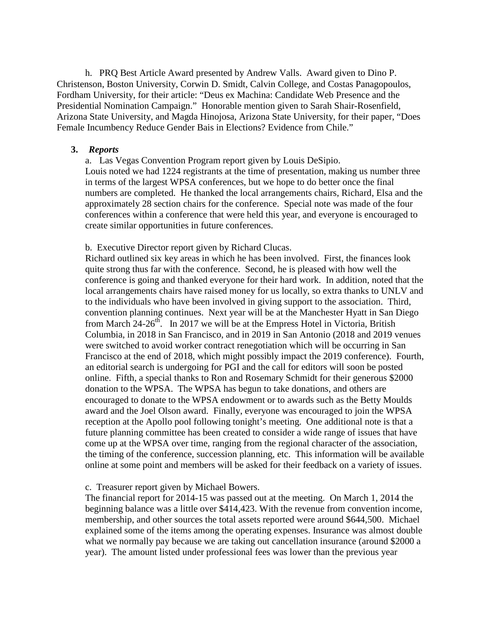h. PRQ Best Article Award presented by Andrew Valls. Award given to Dino P. Christenson, Boston University, Corwin D. Smidt, Calvin College, and Costas Panagopoulos, Fordham University, for their article: "Deus ex Machina: Candidate Web Presence and the Presidential Nomination Campaign." Honorable mention given to Sarah Shair-Rosenfield, Arizona State University, and Magda Hinojosa, Arizona State University, for their paper, "Does Female Incumbency Reduce Gender Bais in Elections? Evidence from Chile."

### **3.** *Reports*

a. Las Vegas Convention Program report given by Louis DeSipio.

Louis noted we had 1224 registrants at the time of presentation, making us number three in terms of the largest WPSA conferences, but we hope to do better once the final numbers are completed. He thanked the local arrangements chairs, Richard, Elsa and the approximately 28 section chairs for the conference. Special note was made of the four conferences within a conference that were held this year, and everyone is encouraged to create similar opportunities in future conferences.

### b. Executive Director report given by Richard Clucas.

Richard outlined six key areas in which he has been involved. First, the finances look quite strong thus far with the conference. Second, he is pleased with how well the conference is going and thanked everyone for their hard work. In addition, noted that the local arrangements chairs have raised money for us locally, so extra thanks to UNLV and to the individuals who have been involved in giving support to the association. Third, convention planning continues. Next year will be at the Manchester Hyatt in San Diego from March 24-26<sup>th</sup>. In 2017 we will be at the Empress Hotel in Victoria, British Columbia, in 2018 in San Francisco, and in 2019 in San Antonio (2018 and 2019 venues were switched to avoid worker contract renegotiation which will be occurring in San Francisco at the end of 2018, which might possibly impact the 2019 conference). Fourth, an editorial search is undergoing for PGI and the call for editors will soon be posted online. Fifth, a special thanks to Ron and Rosemary Schmidt for their generous \$2000 donation to the WPSA. The WPSA has begun to take donations, and others are encouraged to donate to the WPSA endowment or to awards such as the Betty Moulds award and the Joel Olson award. Finally, everyone was encouraged to join the WPSA reception at the Apollo pool following tonight's meeting. One additional note is that a future planning committee has been created to consider a wide range of issues that have come up at the WPSA over time, ranging from the regional character of the association, the timing of the conference, succession planning, etc. This information will be available online at some point and members will be asked for their feedback on a variety of issues.

#### c. Treasurer report given by Michael Bowers.

The financial report for 2014-15 was passed out at the meeting. On March 1, 2014 the beginning balance was a little over \$414,423. With the revenue from convention income, membership, and other sources the total assets reported were around \$644,500. Michael explained some of the items among the operating expenses. Insurance was almost double what we normally pay because we are taking out cancellation insurance (around \$2000 a year). The amount listed under professional fees was lower than the previous year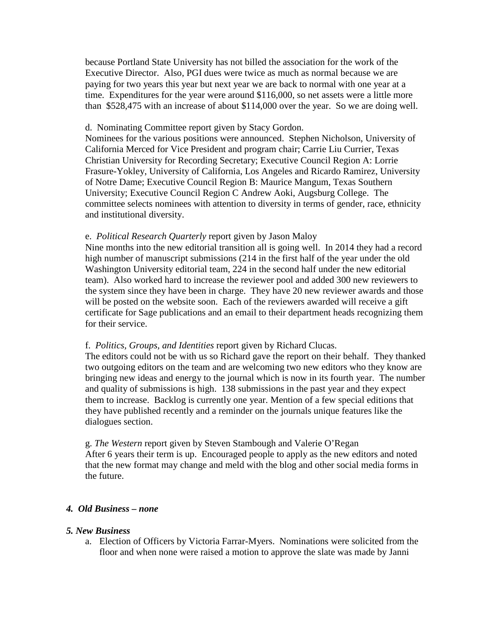because Portland State University has not billed the association for the work of the Executive Director. Also, PGI dues were twice as much as normal because we are paying for two years this year but next year we are back to normal with one year at a time. Expenditures for the year were around \$116,000, so net assets were a little more than \$528,475 with an increase of about \$114,000 over the year. So we are doing well.

## d. Nominating Committee report given by Stacy Gordon.

Nominees for the various positions were announced. Stephen Nicholson, University of California Merced for Vice President and program chair; Carrie Liu Currier, Texas Christian University for Recording Secretary; Executive Council Region A: Lorrie Frasure-Yokley, University of California, Los Angeles and Ricardo Ramirez, University of Notre Dame; Executive Council Region B: Maurice Mangum, Texas Southern University; Executive Council Region C Andrew Aoki, Augsburg College. The committee selects nominees with attention to diversity in terms of gender, race, ethnicity and institutional diversity.

## e. *Political Research Quarterly* report given by Jason Maloy

Nine months into the new editorial transition all is going well. In 2014 they had a record high number of manuscript submissions (214 in the first half of the year under the old Washington University editorial team, 224 in the second half under the new editorial team). Also worked hard to increase the reviewer pool and added 300 new reviewers to the system since they have been in charge. They have 20 new reviewer awards and those will be posted on the website soon. Each of the reviewers awarded will receive a gift certificate for Sage publications and an email to their department heads recognizing them for their service.

# f. *Politics, Groups, and Identities* report given by Richard Clucas.

The editors could not be with us so Richard gave the report on their behalf. They thanked two outgoing editors on the team and are welcoming two new editors who they know are bringing new ideas and energy to the journal which is now in its fourth year. The number and quality of submissions is high. 138 submissions in the past year and they expect them to increase. Backlog is currently one year. Mention of a few special editions that they have published recently and a reminder on the journals unique features like the dialogues section.

g. *The Western* report given by Steven Stambough and Valerie O'Regan After 6 years their term is up. Encouraged people to apply as the new editors and noted that the new format may change and meld with the blog and other social media forms in the future.

# *4. Old Business – none*

# *5. New Business*

a. Election of Officers by Victoria Farrar-Myers. Nominations were solicited from the floor and when none were raised a motion to approve the slate was made by Janni